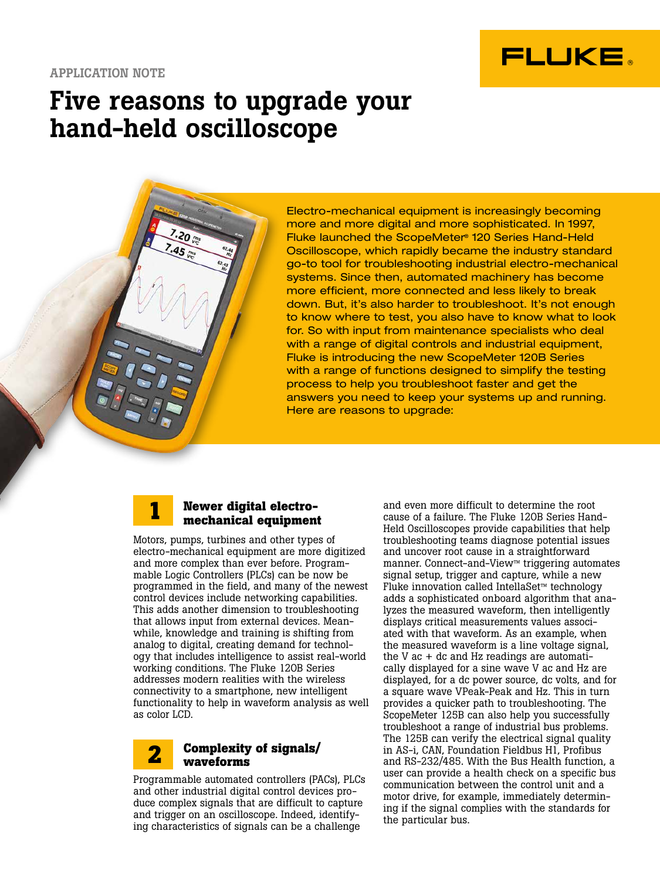

## Five reasons to upgrade your hand-held oscilloscope

 $20 -$ 

Electro-mechanical equipment is increasingly becoming more and more digital and more sophisticated. In 1997, Fluke launched the ScopeMeter® 120 Series Hand-Held Oscilloscope, which rapidly became the industry standard go-to tool for troubleshooting industrial electro-mechanical systems. Since then, automated machinery has become more efficient, more connected and less likely to break down. But, it's also harder to troubleshoot. It's not enough to know where to test, you also have to know what to look for. So with input from maintenance specialists who deal with a range of digital controls and industrial equipment, Fluke is introducing the new ScopeMeter 120B Series with a range of functions designed to simplify the testing process to help you troubleshoot faster and get the answers you need to keep your systems up and running. Here are reasons to upgrade:



### **Newer digital electromechanical equipment**

Motors, pumps, turbines and other types of electro-mechanical equipment are more digitized and more complex than ever before. Programmable Logic Controllers (PLCs) can be now be programmed in the field, and many of the newest control devices include networking capabilities. This adds another dimension to troubleshooting that allows input from external devices. Meanwhile, knowledge and training is shifting from analog to digital, creating demand for technology that includes intelligence to assist real-world working conditions. The Fluke 120B Series addresses modern realities with the wireless connectivity to a smartphone, new intelligent functionality to help in waveform analysis as well as color LCD.

#### **Complexity of signals/ waveforms 2**

Programmable automated controllers (PACs), PLCs and other industrial digital control devices produce complex signals that are difficult to capture and trigger on an oscilloscope. Indeed, identifying characteristics of signals can be a challenge

and even more difficult to determine the root cause of a failure. The Fluke 120B Series Hand-Held Oscilloscopes provide capabilities that help troubleshooting teams diagnose potential issues and uncover root cause in a straightforward manner. Connect-and-View™ triggering automates signal setup, trigger and capture, while a new Fluke innovation called IntellaSet™ technology adds a sophisticated onboard algorithm that analyzes the measured waveform, then intelligently displays critical measurements values associated with that waveform. As an example, when the measured waveform is a line voltage signal, the V ac + dc and Hz readings are automatically displayed for a sine wave V ac and Hz are displayed, for a dc power source, dc volts, and for a square wave VPeak-Peak and Hz. This in turn provides a quicker path to troubleshooting. The ScopeMeter 125B can also help you successfully troubleshoot a range of industrial bus problems. The 125B can verify the electrical signal quality in AS-i, CAN, Foundation Fieldbus H1, Profibus and RS-232/485. With the Bus Health function, a user can provide a health check on a specific bus communication between the control unit and a motor drive, for example, immediately determining if the signal complies with the standards for the particular bus.